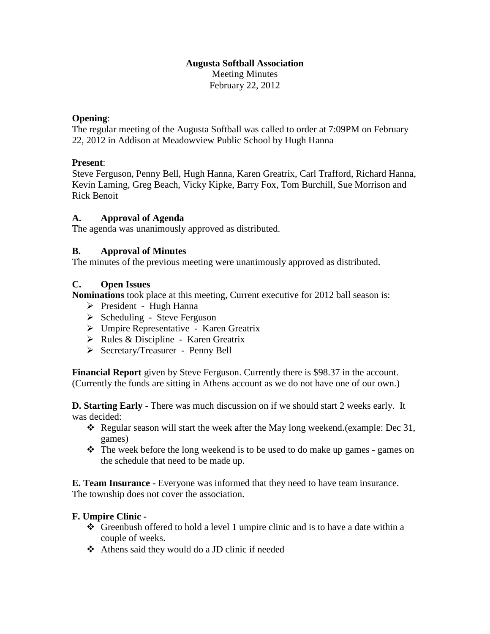#### **Augusta Softball Association** Meeting Minutes February 22, 2012

#### **Opening**:

The regular meeting of the Augusta Softball was called to order at 7:09PM on February 22, 2012 in Addison at Meadowview Public School by Hugh Hanna

### **Present**:

Steve Ferguson, Penny Bell, Hugh Hanna, Karen Greatrix, Carl Trafford, Richard Hanna, Kevin Laming, Greg Beach, Vicky Kipke, Barry Fox, Tom Burchill, Sue Morrison and Rick Benoit

### **A. Approval of Agenda**

The agenda was unanimously approved as distributed.

### **B. Approval of Minutes**

The minutes of the previous meeting were unanimously approved as distributed.

#### **C. Open Issues**

**Nominations** took place at this meeting, Current executive for 2012 ball season is:

- $\triangleright$  President Hugh Hanna
- $\triangleright$  Scheduling Steve Ferguson
- Umpire Representative Karen Greatrix
- $\triangleright$  Rules & Discipline Karen Greatrix
- Secretary/Treasurer Penny Bell

**Financial Report** given by Steve Ferguson. Currently there is \$98.37 in the account. (Currently the funds are sitting in Athens account as we do not have one of our own.)

**D. Starting Early -** There was much discussion on if we should start 2 weeks early. It was decided:

- Regular season will start the week after the May long weekend.(example: Dec 31, games)
- The week before the long weekend is to be used to do make up games games on the schedule that need to be made up.

**E. Team Insurance -** Everyone was informed that they need to have team insurance. The township does not cover the association.

### **F. Umpire Clinic -**

- Greenbush offered to hold a level 1 umpire clinic and is to have a date within a couple of weeks.
- Athens said they would do a JD clinic if needed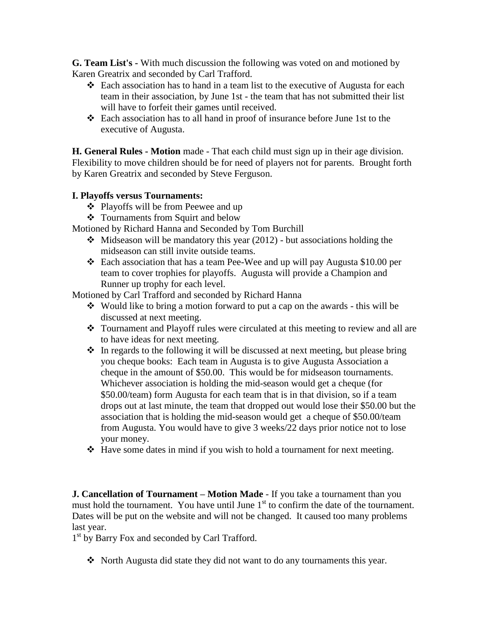**G. Team List's -** With much discussion the following was voted on and motioned by Karen Greatrix and seconded by Carl Trafford.

- $\div$  Each association has to hand in a team list to the executive of Augusta for each team in their association, by June 1st - the team that has not submitted their list will have to forfeit their games until received.
- Each association has to all hand in proof of insurance before June 1st to the executive of Augusta.

**H. General Rules - Motion** made - That each child must sign up in their age division. Flexibility to move children should be for need of players not for parents. Brought forth by Karen Greatrix and seconded by Steve Ferguson.

## **I. Playoffs versus Tournaments:**

- ❖ Playoffs will be from Peewee and up
- Tournaments from Squirt and below

Motioned by Richard Hanna and Seconded by Tom Burchill

- $\triangleleft$  Midseason will be mandatory this year (2012) but associations holding the midseason can still invite outside teams.
- Each association that has a team Pee-Wee and up will pay Augusta \$10.00 per team to cover trophies for playoffs. Augusta will provide a Champion and Runner up trophy for each level.

Motioned by Carl Trafford and seconded by Richard Hanna

- Would like to bring a motion forward to put a cap on the awards this will be discussed at next meeting.
- Tournament and Playoff rules were circulated at this meeting to review and all are to have ideas for next meeting.
- $\cdot$  In regards to the following it will be discussed at next meeting, but please bring you cheque books: Each team in Augusta is to give Augusta Association a cheque in the amount of \$50.00. This would be for midseason tournaments. Whichever association is holding the mid-season would get a cheque (for \$50.00/team) form Augusta for each team that is in that division, so if a team drops out at last minute, the team that dropped out would lose their \$50.00 but the association that is holding the mid-season would get a cheque of \$50.00/team from Augusta. You would have to give 3 weeks/22 days prior notice not to lose your money.
- Have some dates in mind if you wish to hold a tournament for next meeting.

**J. Cancellation of Tournament – Motion Made** - If you take a tournament than you must hold the tournament. You have until June  $1<sup>st</sup>$  to confirm the date of the tournament. Dates will be put on the website and will not be changed. It caused too many problems last year.

1<sup>st</sup> by Barry Fox and seconded by Carl Trafford.

 $\div$  North Augusta did state they did not want to do any tournaments this year.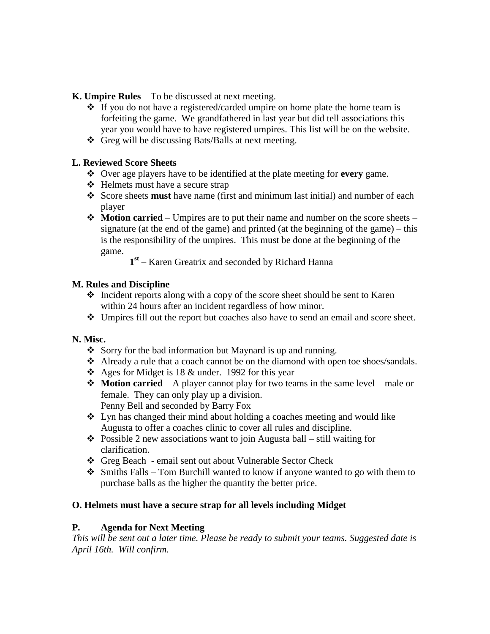**K. Umpire Rules** – To be discussed at next meeting.

- $\cdot \cdot$  If you do not have a registered/carded umpire on home plate the home team is forfeiting the game. We grandfathered in last year but did tell associations this year you would have to have registered umpires. This list will be on the website.
- Greg will be discussing Bats/Balls at next meeting.

## **L. Reviewed Score Sheets**

- Over age players have to be identified at the plate meeting for **every** game.
- ❖ Helmets must have a secure strap
- Score sheets **must** have name (first and minimum last initial) and number of each player
- **Motion carried** Umpires are to put their name and number on the score sheets signature (at the end of the game) and printed (at the beginning of the game) – this is the responsibility of the umpires. This must be done at the beginning of the game.

**1 st** – Karen Greatrix and seconded by Richard Hanna

## **M. Rules and Discipline**

- $\triangle$  Incident reports along with a copy of the score sheet should be sent to Karen within 24 hours after an incident regardless of how minor.
- Umpires fill out the report but coaches also have to send an email and score sheet.

# **N. Misc.**

- Sorry for the bad information but Maynard is up and running.
- Already a rule that a coach cannot be on the diamond with open toe shoes/sandals.
- $\triangle$  Ages for Midget is 18 & under. 1992 for this year
- **Motion carried** A player cannot play for two teams in the same level male or female. They can only play up a division. Penny Bell and seconded by Barry Fox
- Lyn has changed their mind about holding a coaches meeting and would like Augusta to offer a coaches clinic to cover all rules and discipline.
- $\triangle$  Possible 2 new associations want to join Augusta ball still waiting for clarification.
- Greg Beach email sent out about Vulnerable Sector Check
- $\triangle$  Smiths Falls Tom Burchill wanted to know if anyone wanted to go with them to purchase balls as the higher the quantity the better price.

# **O. Helmets must have a secure strap for all levels including Midget**

### **P. Agenda for Next Meeting**

*This will be sent out a later time. Please be ready to submit your teams. Suggested date is April 16th. Will confirm.*